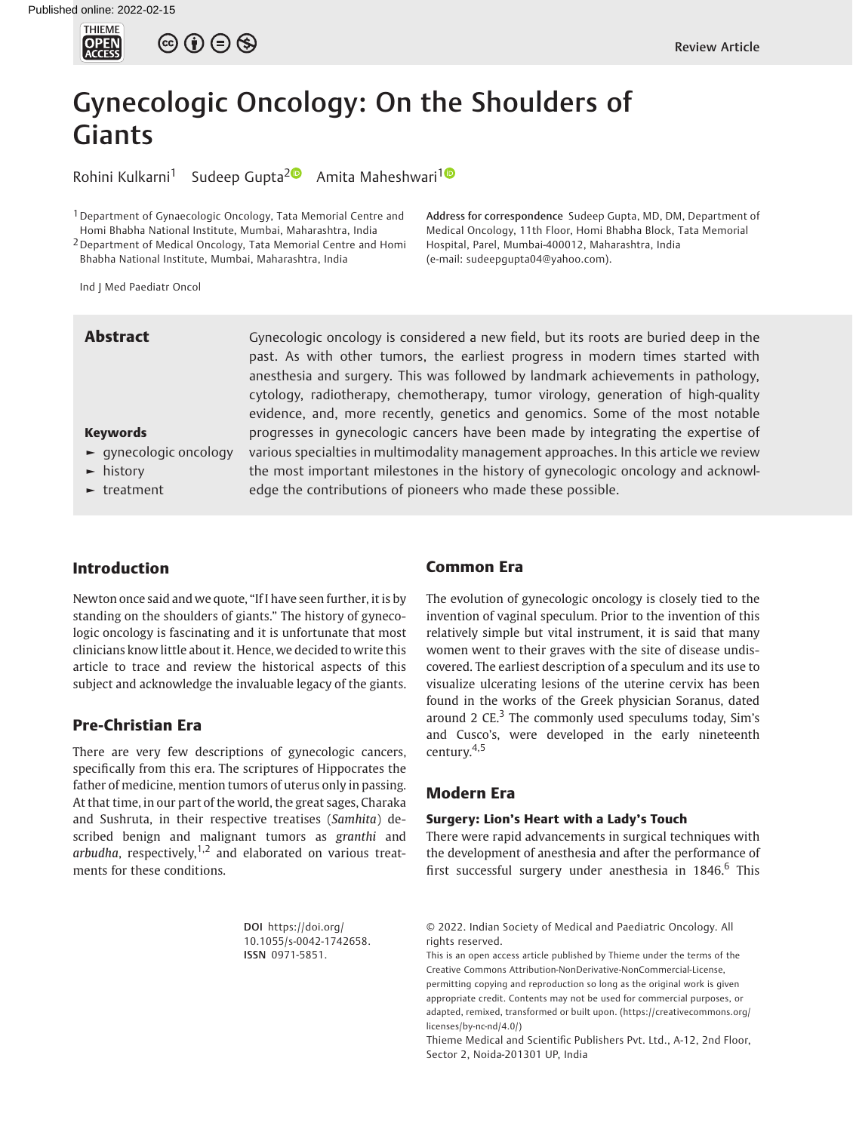

 $\circledcirc \circledcirc \circledcirc$ 

# Gynecologic Oncology: On the Shoulders of Giants

Rohini Kulkarni<sup>1</sup> Sudeep Gupta<sup>20</sup> Amita Maheshwari<sup>10</sup>

<sup>1</sup> Department of Gynaecologic Oncology, Tata Memorial Centre and Homi Bhabha National Institute, Mumbai, Maharashtra, India

2Department of Medical Oncology, Tata Memorial Centre and Homi Bhabha National Institute, Mumbai, Maharashtra, India

Ind J Med Paediatr Oncol

**Abstract** Gynecologic oncology is considered a new field, but its roots are buried deep in the past. As with other tumors, the earliest progress in modern times started with anesthesia and surgery. This was followed by landmark achievements in pathology, cytology, radiotherapy, chemotherapy, tumor virology, generation of high-quality evidence, and, more recently, genetics and genomics. Some of the most notable progresses in gynecologic cancers have been made by integrating the expertise of various specialties in multimodality management approaches. In this article we review the most important milestones in the history of gynecologic oncology and acknowledge the contributions of pioneers who made these possible.

# ► history

Keywords

► treatment

► gynecologic oncology

#### Introduction

Newton once said and we quote, "If I have seen further, it is by standing on the shoulders of giants." The history of gynecologic oncology is fascinating and it is unfortunate that most clinicians know little about it. Hence, we decided to write this article to trace and review the historical aspects of this subject and acknowledge the invaluable legacy of the giants.

### Pre-Christian Era

There are very few descriptions of gynecologic cancers, specifically from this era. The scriptures of Hippocrates the father of medicine, mention tumors of uterus only in passing. At that time, in our part of the world, the great sages, Charaka and Sushruta, in their respective treatises (Samhita) described benign and malignant tumors as granthi and arbudha, respectively,  $1,2$  and elaborated on various treatments for these conditions.

> DOI [https://doi.org/](https://doi.org/10.1055/s-0042-1742658) [10.1055/s-0042-1742658](https://doi.org/10.1055/s-0042-1742658). ISSN 0971-5851.

## Common Era

The evolution of gynecologic oncology is closely tied to the invention of vaginal speculum. Prior to the invention of this relatively simple but vital instrument, it is said that many women went to their graves with the site of disease undiscovered. The earliest description of a speculum and its use to visualize ulcerating lesions of the uterine cervix has been found in the works of the Greek physician Soranus, dated around 2  $CE<sup>3</sup>$ . The commonly used speculums today, Sim's and Cusco's, were developed in the early nineteenth century.4,5

Address for correspondence Sudeep Gupta, MD, DM, Department of Medical Oncology, 11th Floor, Homi Bhabha Block, Tata Memorial

Hospital, Parel, Mumbai-400012, Maharashtra, India

(e-mail: [sudeepgupta04@yahoo.com](mailto:sudeepgupta04@yahoo.com)).

### Modern Era

#### Surgery: Lion's Heart with a Lady's Touch

There were rapid advancements in surgical techniques with the development of anesthesia and after the performance of first successful surgery under anesthesia in  $1846$ .<sup>6</sup> This

<sup>© 2022.</sup> Indian Society of Medical and Paediatric Oncology. All rights reserved.

This is an open access article published by Thieme under the terms of the Creative Commons Attribution-NonDerivative-NonCommercial-License, permitting copying and reproduction so long as the original work is given appropriate credit. Contents may not be used for commercial purposes, or adapted, remixed, transformed or built upon. (https://creativecommons.org/ licenses/by-nc-nd/4.0/)

Thieme Medical and Scientific Publishers Pvt. Ltd., A-12, 2nd Floor, Sector 2, Noida-201301 UP, India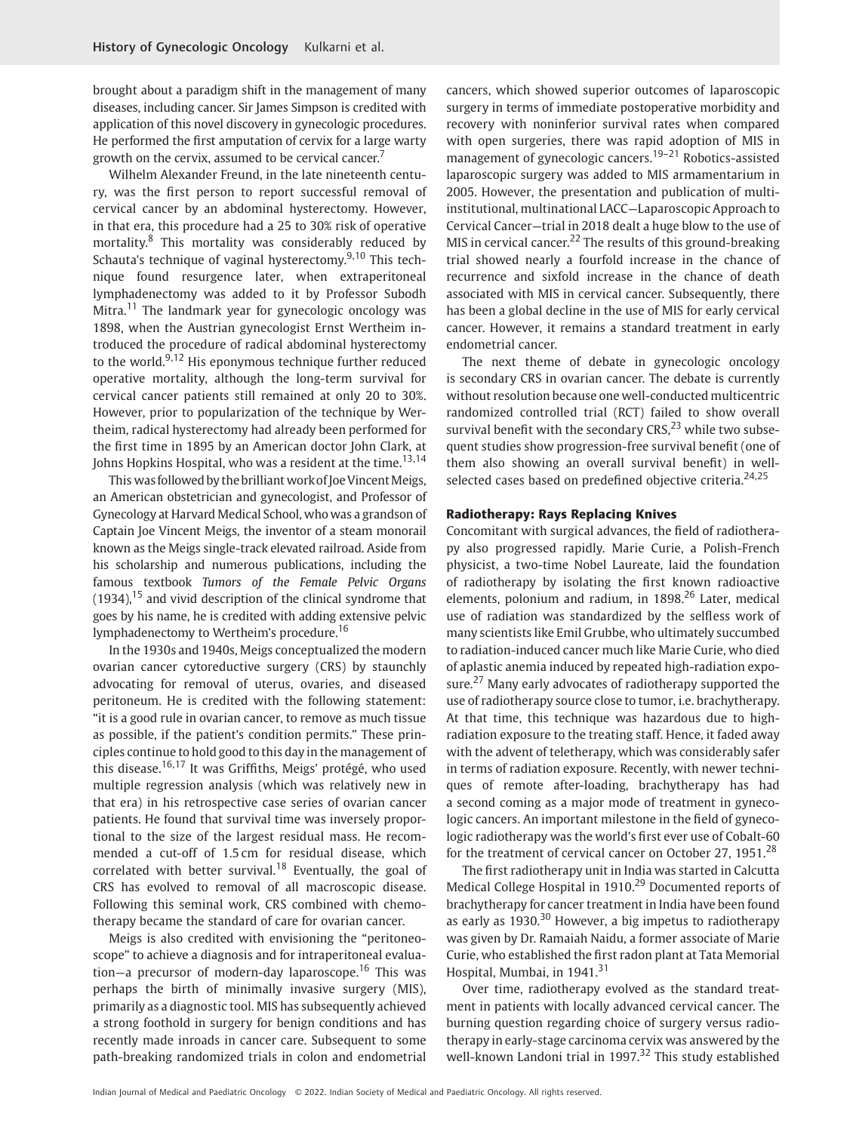brought about a paradigm shift in the management of many diseases, including cancer. Sir James Simpson is credited with application of this novel discovery in gynecologic procedures. He performed the first amputation of cervix for a large warty growth on the cervix, assumed to be cervical cancer.

Wilhelm Alexander Freund, in the late nineteenth century, was the first person to report successful removal of cervical cancer by an abdominal hysterectomy. However, in that era, this procedure had a 25 to 30% risk of operative mortality.<sup>8</sup> This mortality was considerably reduced by Schauta's technique of vaginal hysterectomy.<sup>9,10</sup> This technique found resurgence later, when extraperitoneal lymphadenectomy was added to it by Professor Subodh Mitra.<sup>11</sup> The landmark year for gynecologic oncology was 1898, when the Austrian gynecologist Ernst Wertheim introduced the procedure of radical abdominal hysterectomy to the world.<sup>9,12</sup> His eponymous technique further reduced operative mortality, although the long-term survival for cervical cancer patients still remained at only 20 to 30%. However, prior to popularization of the technique by Wertheim, radical hysterectomy had already been performed for the first time in 1895 by an American doctor John Clark, at Johns Hopkins Hospital, who was a resident at the time.<sup>13,14</sup>

This was followed by the brilliant work of Joe Vincent Meigs, an American obstetrician and gynecologist, and Professor of Gynecology at Harvard Medical School, who was a grandson of Captain Joe Vincent Meigs, the inventor of a steam monorail known as the Meigs single-track elevated railroad. Aside from his scholarship and numerous publications, including the famous textbook Tumors of the Female Pelvic Organs  $(1934)$ ,  $^{15}$  and vivid description of the clinical syndrome that goes by his name, he is credited with adding extensive pelvic lymphadenectomy to Wertheim's procedure.<sup>16</sup>

In the 1930s and 1940s, Meigs conceptualized the modern ovarian cancer cytoreductive surgery (CRS) by staunchly advocating for removal of uterus, ovaries, and diseased peritoneum. He is credited with the following statement: "it is a good rule in ovarian cancer, to remove as much tissue as possible, if the patient's condition permits." These principles continue to hold good to this day in the management of this disease.16,17 It was Griffiths, Meigs' protégé, who used multiple regression analysis (which was relatively new in that era) in his retrospective case series of ovarian cancer patients. He found that survival time was inversely proportional to the size of the largest residual mass. He recommended a cut-off of 1.5 cm for residual disease, which correlated with better survival.<sup>18</sup> Eventually, the goal of CRS has evolved to removal of all macroscopic disease. Following this seminal work, CRS combined with chemotherapy became the standard of care for ovarian cancer.

Meigs is also credited with envisioning the "peritoneoscope" to achieve a diagnosis and for intraperitoneal evaluation—a precursor of modern-day laparoscope.<sup>16</sup> This was perhaps the birth of minimally invasive surgery (MIS), primarily as a diagnostic tool. MIS has subsequently achieved a strong foothold in surgery for benign conditions and has recently made inroads in cancer care. Subsequent to some path-breaking randomized trials in colon and endometrial cancers, which showed superior outcomes of laparoscopic surgery in terms of immediate postoperative morbidity and recovery with noninferior survival rates when compared with open surgeries, there was rapid adoption of MIS in management of gynecologic cancers.<sup>19–21</sup> Robotics-assisted laparoscopic surgery was added to MIS armamentarium in 2005. However, the presentation and publication of multiinstitutional, multinational LACC—Laparoscopic Approach to Cervical Cancer—trial in 2018 dealt a huge blow to the use of MIS in cervical cancer.<sup>22</sup> The results of this ground-breaking trial showed nearly a fourfold increase in the chance of recurrence and sixfold increase in the chance of death associated with MIS in cervical cancer. Subsequently, there has been a global decline in the use of MIS for early cervical cancer. However, it remains a standard treatment in early endometrial cancer.

The next theme of debate in gynecologic oncology is secondary CRS in ovarian cancer. The debate is currently without resolution because one well-conducted multicentric randomized controlled trial (RCT) failed to show overall survival benefit with the secondary CRS, $^{23}$  while two subsequent studies show progression-free survival benefit (one of them also showing an overall survival benefit) in wellselected cases based on predefined objective criteria. $24,25$ 

#### Radiotherapy: Rays Replacing Knives

Concomitant with surgical advances, the field of radiotherapy also progressed rapidly. Marie Curie, a Polish-French physicist, a two-time Nobel Laureate, laid the foundation of radiotherapy by isolating the first known radioactive elements, polonium and radium, in  $1898<sup>26</sup>$  Later, medical use of radiation was standardized by the selfless work of many scientists like Emil Grubbe, who ultimately succumbed to radiation-induced cancer much like Marie Curie, who died of aplastic anemia induced by repeated high-radiation exposure.<sup>27</sup> Many early advocates of radiotherapy supported the use of radiotherapy source close to tumor, i.e. brachytherapy. At that time, this technique was hazardous due to highradiation exposure to the treating staff. Hence, it faded away with the advent of teletherapy, which was considerably safer in terms of radiation exposure. Recently, with newer techniques of remote after-loading, brachytherapy has had a second coming as a major mode of treatment in gynecologic cancers. An important milestone in the field of gynecologic radiotherapy was the world's first ever use of Cobalt-60 for the treatment of cervical cancer on October 27,  $1951<sup>28</sup>$ 

The first radiotherapy unit in India was started in Calcutta Medical College Hospital in 1910.<sup>29</sup> Documented reports of brachytherapy for cancer treatment in India have been found as early as  $1930<sup>30</sup>$  However, a big impetus to radiotherapy was given by Dr. Ramaiah Naidu, a former associate of Marie Curie, who established the first radon plant at Tata Memorial Hospital, Mumbai, in 1941.<sup>31</sup>

Over time, radiotherapy evolved as the standard treatment in patients with locally advanced cervical cancer. The burning question regarding choice of surgery versus radiotherapy in early-stage carcinoma cervix was answered by the well-known Landoni trial in 1997.<sup>32</sup> This study established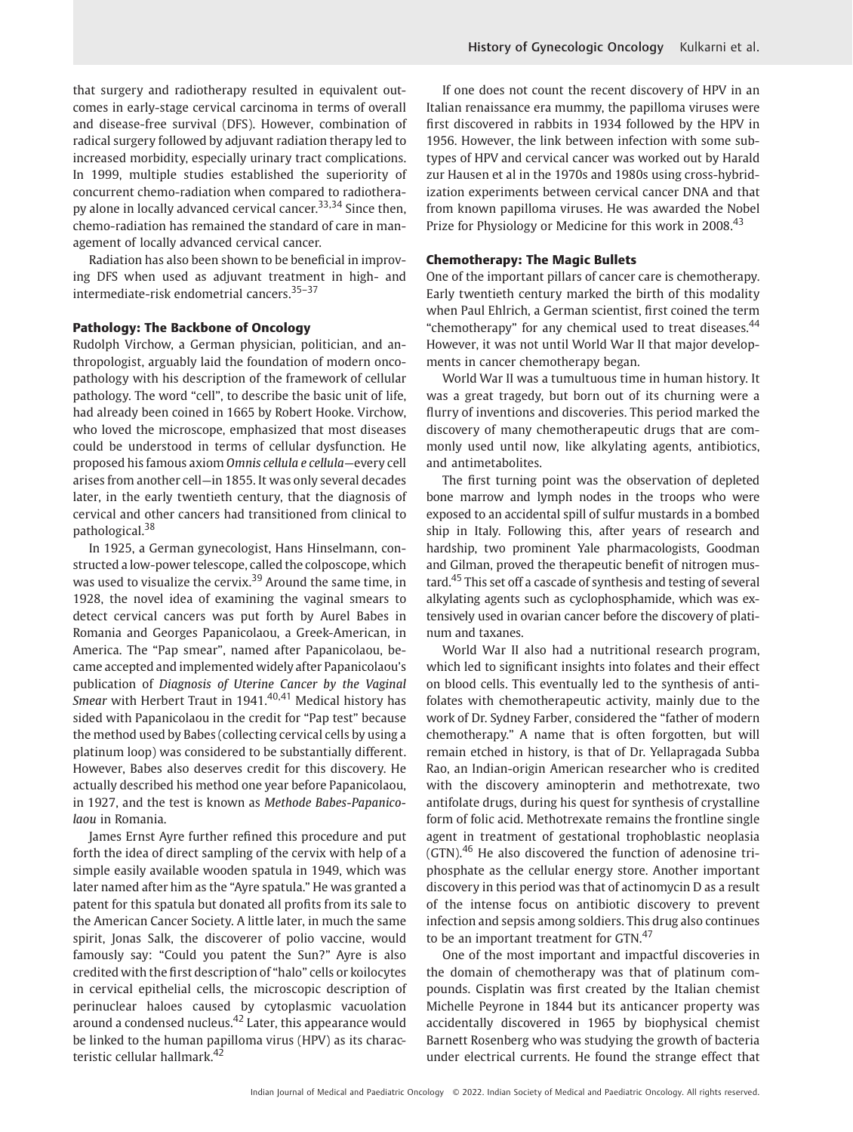that surgery and radiotherapy resulted in equivalent outcomes in early-stage cervical carcinoma in terms of overall and disease-free survival (DFS). However, combination of radical surgery followed by adjuvant radiation therapy led to increased morbidity, especially urinary tract complications. In 1999, multiple studies established the superiority of concurrent chemo-radiation when compared to radiotherapy alone in locally advanced cervical cancer.<sup>33,34</sup> Since then, chemo-radiation has remained the standard of care in management of locally advanced cervical cancer.

Radiation has also been shown to be beneficial in improving DFS when used as adjuvant treatment in high- and intermediate-risk endometrial cancers.35–<sup>37</sup>

#### Pathology: The Backbone of Oncology

Rudolph Virchow, a German physician, politician, and anthropologist, arguably laid the foundation of modern oncopathology with his description of the framework of cellular pathology. The word "cell", to describe the basic unit of life, had already been coined in 1665 by Robert Hooke. Virchow, who loved the microscope, emphasized that most diseases could be understood in terms of cellular dysfunction. He proposed his famous axiom Omnis cellula e cellula—every cell arises from another cell—in 1855. It was only several decades later, in the early twentieth century, that the diagnosis of cervical and other cancers had transitioned from clinical to pathological.<sup>38</sup>

In 1925, a German gynecologist, Hans Hinselmann, constructed a low-power telescope, called the colposcope, which was used to visualize the cervix.<sup>39</sup> Around the same time, in 1928, the novel idea of examining the vaginal smears to detect cervical cancers was put forth by Aurel Babes in Romania and Georges Papanicolaou, a Greek-American, in America. The "Pap smear", named after Papanicolaou, became accepted and implemented widely after Papanicolaou's publication of Diagnosis of Uterine Cancer by the Vaginal Smear with Herbert Traut in  $1941.<sup>40,41</sup>$  Medical history has sided with Papanicolaou in the credit for "Pap test" because the method used by Babes (collecting cervical cells by using a platinum loop) was considered to be substantially different. However, Babes also deserves credit for this discovery. He actually described his method one year before Papanicolaou, in 1927, and the test is known as Methode Babes-Papanicolaou in Romania.

James Ernst Ayre further refined this procedure and put forth the idea of direct sampling of the cervix with help of a simple easily available wooden spatula in 1949, which was later named after him as the "Ayre spatula." He was granted a patent for this spatula but donated all profits from its sale to the American Cancer Society. A little later, in much the same spirit, Jonas Salk, the discoverer of polio vaccine, would famously say: "Could you patent the Sun?" Ayre is also credited with the first description of "halo" cells or koilocytes in cervical epithelial cells, the microscopic description of perinuclear haloes caused by cytoplasmic vacuolation around a condensed nucleus.<sup>42</sup> Later, this appearance would be linked to the human papilloma virus (HPV) as its characteristic cellular hallmark.<sup>42</sup>

If one does not count the recent discovery of HPV in an Italian renaissance era mummy, the papilloma viruses were first discovered in rabbits in 1934 followed by the HPV in 1956. However, the link between infection with some subtypes of HPV and cervical cancer was worked out by Harald zur Hausen et al in the 1970s and 1980s using cross-hybridization experiments between cervical cancer DNA and that from known papilloma viruses. He was awarded the Nobel Prize for Physiology or Medicine for this work in 2008.<sup>43</sup>

#### Chemotherapy: The Magic Bullets

One of the important pillars of cancer care is chemotherapy. Early twentieth century marked the birth of this modality when Paul Ehlrich, a German scientist, first coined the term "chemotherapy" for any chemical used to treat diseases.<sup>44</sup> However, it was not until World War II that major developments in cancer chemotherapy began.

World War II was a tumultuous time in human history. It was a great tragedy, but born out of its churning were a flurry of inventions and discoveries. This period marked the discovery of many chemotherapeutic drugs that are commonly used until now, like alkylating agents, antibiotics, and antimetabolites.

The first turning point was the observation of depleted bone marrow and lymph nodes in the troops who were exposed to an accidental spill of sulfur mustards in a bombed ship in Italy. Following this, after years of research and hardship, two prominent Yale pharmacologists, Goodman and Gilman, proved the therapeutic benefit of nitrogen mustard.<sup>45</sup> This set off a cascade of synthesis and testing of several alkylating agents such as cyclophosphamide, which was extensively used in ovarian cancer before the discovery of platinum and taxanes.

World War II also had a nutritional research program, which led to significant insights into folates and their effect on blood cells. This eventually led to the synthesis of antifolates with chemotherapeutic activity, mainly due to the work of Dr. Sydney Farber, considered the "father of modern chemotherapy." A name that is often forgotten, but will remain etched in history, is that of Dr. Yellapragada Subba Rao, an Indian-origin American researcher who is credited with the discovery aminopterin and methotrexate, two antifolate drugs, during his quest for synthesis of crystalline form of folic acid. Methotrexate remains the frontline single agent in treatment of gestational trophoblastic neoplasia (GTN).<sup>46</sup> He also discovered the function of adenosine triphosphate as the cellular energy store. Another important discovery in this period was that of actinomycin D as a result of the intense focus on antibiotic discovery to prevent infection and sepsis among soldiers. This drug also continues to be an important treatment for GTN.<sup>47</sup>

One of the most important and impactful discoveries in the domain of chemotherapy was that of platinum compounds. Cisplatin was first created by the Italian chemist Michelle Peyrone in 1844 but its anticancer property was accidentally discovered in 1965 by biophysical chemist Barnett Rosenberg who was studying the growth of bacteria under electrical currents. He found the strange effect that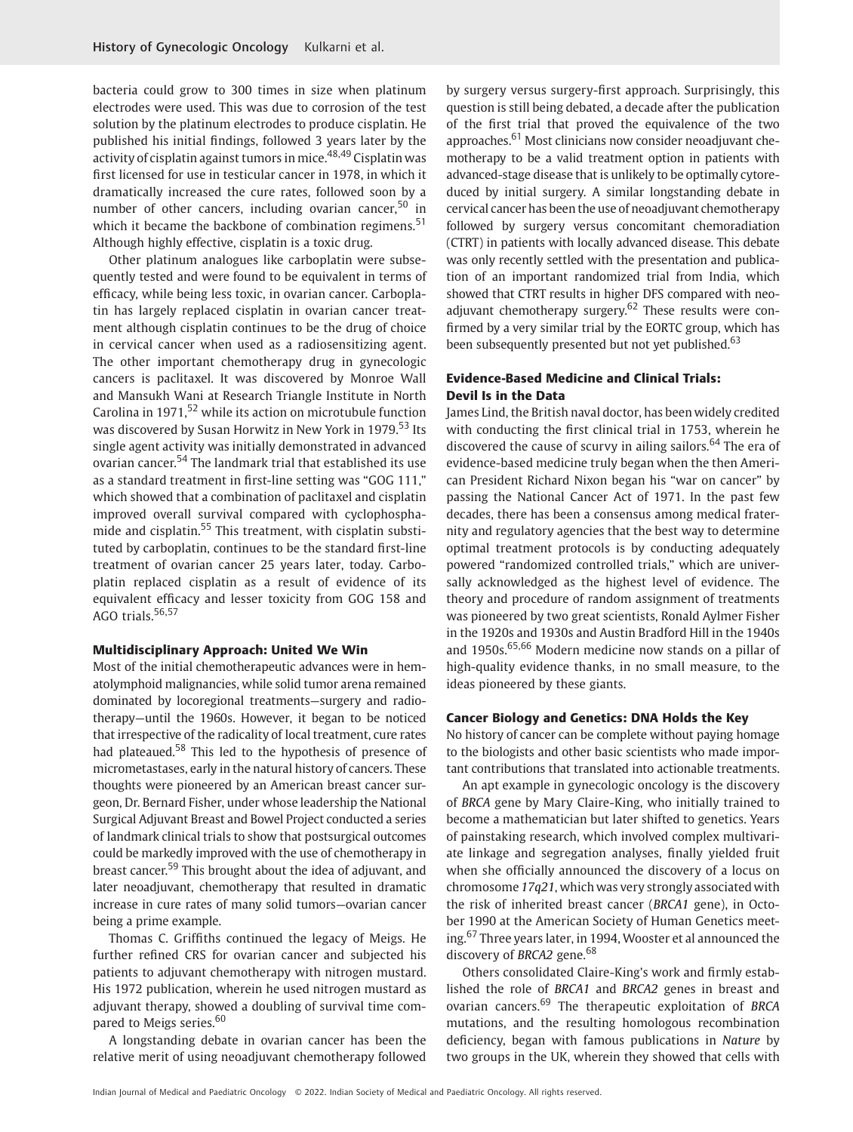bacteria could grow to 300 times in size when platinum electrodes were used. This was due to corrosion of the test solution by the platinum electrodes to produce cisplatin. He published his initial findings, followed 3 years later by the activity of cisplatin against tumors in mice.<sup>48,49</sup> Cisplatin was first licensed for use in testicular cancer in 1978, in which it dramatically increased the cure rates, followed soon by a number of other cancers, including ovarian cancer,  $50$  in which it became the backbone of combination regimens.<sup>51</sup> Although highly effective, cisplatin is a toxic drug.

Other platinum analogues like carboplatin were subsequently tested and were found to be equivalent in terms of efficacy, while being less toxic, in ovarian cancer. Carboplatin has largely replaced cisplatin in ovarian cancer treatment although cisplatin continues to be the drug of choice in cervical cancer when used as a radiosensitizing agent. The other important chemotherapy drug in gynecologic cancers is paclitaxel. It was discovered by Monroe Wall and Mansukh Wani at Research Triangle Institute in North Carolina in  $1971$ <sup>52</sup> while its action on microtubule function was discovered by Susan Horwitz in New York in 1979.<sup>53</sup> Its single agent activity was initially demonstrated in advanced ovarian cancer.<sup>54</sup> The landmark trial that established its use as a standard treatment in first-line setting was "GOG 111," which showed that a combination of paclitaxel and cisplatin improved overall survival compared with cyclophosphamide and cisplatin.<sup>55</sup> This treatment, with cisplatin substituted by carboplatin, continues to be the standard first-line treatment of ovarian cancer 25 years later, today. Carboplatin replaced cisplatin as a result of evidence of its equivalent efficacy and lesser toxicity from GOG 158 and AGO trials. $56,57$ 

#### Multidisciplinary Approach: United We Win

Most of the initial chemotherapeutic advances were in hematolymphoid malignancies, while solid tumor arena remained dominated by locoregional treatments—surgery and radiotherapy—until the 1960s. However, it began to be noticed that irrespective of the radicality of local treatment, cure rates had plateaued.<sup>58</sup> This led to the hypothesis of presence of micrometastases, early in the natural history of cancers. These thoughts were pioneered by an American breast cancer surgeon, Dr. Bernard Fisher, under whose leadership the National Surgical Adjuvant Breast and Bowel Project conducted a series of landmark clinical trials to show that postsurgical outcomes could be markedly improved with the use of chemotherapy in breast cancer.<sup>59</sup> This brought about the idea of adjuvant, and later neoadjuvant, chemotherapy that resulted in dramatic increase in cure rates of many solid tumors—ovarian cancer being a prime example.

Thomas C. Griffiths continued the legacy of Meigs. He further refined CRS for ovarian cancer and subjected his patients to adjuvant chemotherapy with nitrogen mustard. His 1972 publication, wherein he used nitrogen mustard as adjuvant therapy, showed a doubling of survival time compared to Meigs series.<sup>60</sup>

A longstanding debate in ovarian cancer has been the relative merit of using neoadjuvant chemotherapy followed by surgery versus surgery-first approach. Surprisingly, this question is still being debated, a decade after the publication of the first trial that proved the equivalence of the two approaches.<sup>61</sup> Most clinicians now consider neoadjuvant chemotherapy to be a valid treatment option in patients with advanced-stage disease that is unlikely to be optimally cytoreduced by initial surgery. A similar longstanding debate in cervical cancer has been the use of neoadjuvant chemotherapy followed by surgery versus concomitant chemoradiation (CTRT) in patients with locally advanced disease. This debate was only recently settled with the presentation and publication of an important randomized trial from India, which showed that CTRT results in higher DFS compared with neoadjuvant chemotherapy surgery. $62$  These results were confirmed by a very similar trial by the EORTC group, which has been subsequently presented but not yet published.<sup>63</sup>

#### Evidence-Based Medicine and Clinical Trials: Devil Is in the Data

James Lind, the British naval doctor, has been widely credited with conducting the first clinical trial in 1753, wherein he discovered the cause of scurvy in ailing sailors.<sup>64</sup> The era of evidence-based medicine truly began when the then American President Richard Nixon began his "war on cancer" by passing the National Cancer Act of 1971. In the past few decades, there has been a consensus among medical fraternity and regulatory agencies that the best way to determine optimal treatment protocols is by conducting adequately powered "randomized controlled trials," which are universally acknowledged as the highest level of evidence. The theory and procedure of random assignment of treatments was pioneered by two great scientists, Ronald Aylmer Fisher in the 1920s and 1930s and Austin Bradford Hill in the 1940s and 1950s.<sup>65,66</sup> Modern medicine now stands on a pillar of high-quality evidence thanks, in no small measure, to the ideas pioneered by these giants.

#### Cancer Biology and Genetics: DNA Holds the Key

No history of cancer can be complete without paying homage to the biologists and other basic scientists who made important contributions that translated into actionable treatments.

An apt example in gynecologic oncology is the discovery of BRCA gene by Mary Claire-King, who initially trained to become a mathematician but later shifted to genetics. Years of painstaking research, which involved complex multivariate linkage and segregation analyses, finally yielded fruit when she officially announced the discovery of a locus on chromosome 17q21, which was very strongly associated with the risk of inherited breast cancer (BRCA1 gene), in October 1990 at the American Society of Human Genetics meeting.<sup>67</sup> Three years later, in 1994, Wooster et al announced the discovery of BRCA2 gene.<sup>68</sup>

Others consolidated Claire-King's work and firmly established the role of BRCA1 and BRCA2 genes in breast and ovarian cancers.<sup>69</sup> The therapeutic exploitation of BRCA mutations, and the resulting homologous recombination deficiency, began with famous publications in Nature by two groups in the UK, wherein they showed that cells with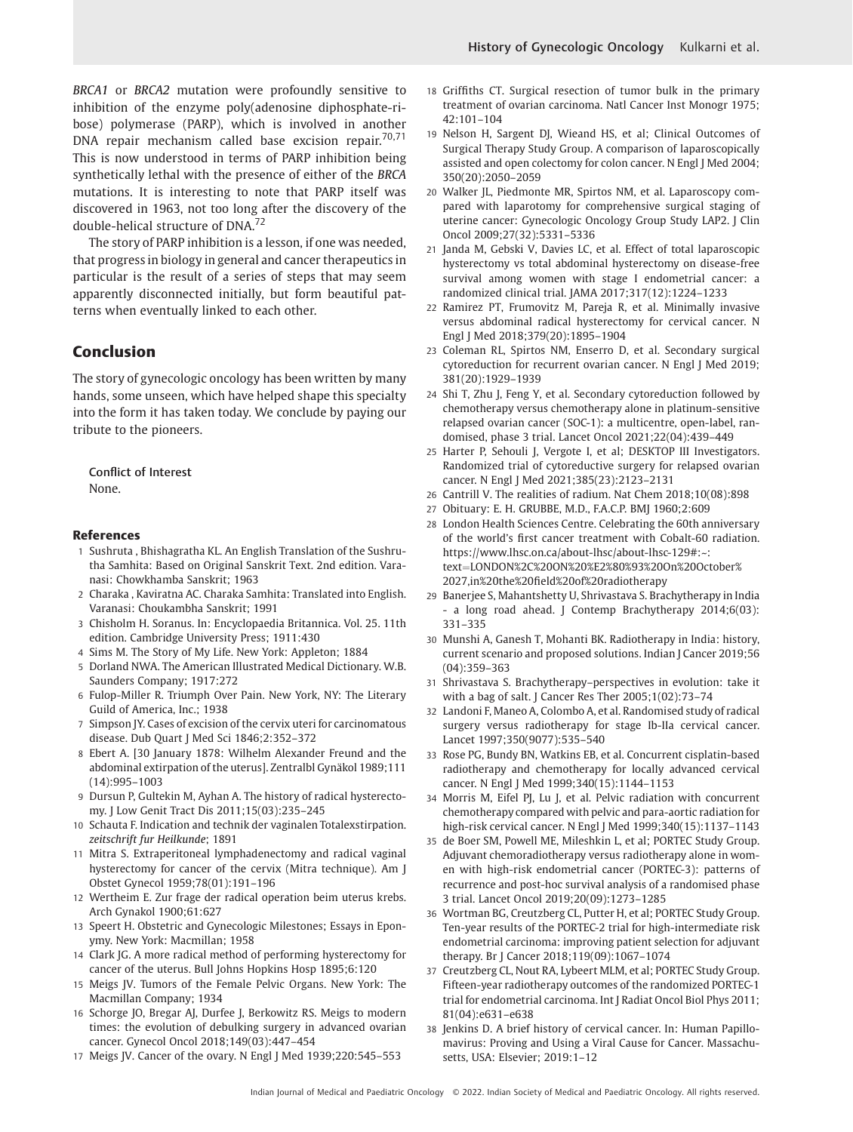BRCA1 or BRCA2 mutation were profoundly sensitive to inhibition of the enzyme poly(adenosine diphosphate-ribose) polymerase (PARP), which is involved in another DNA repair mechanism called base excision repair. $70,71$ This is now understood in terms of PARP inhibition being synthetically lethal with the presence of either of the BRCA mutations. It is interesting to note that PARP itself was discovered in 1963, not too long after the discovery of the double-helical structure of DNA.<sup>72</sup>

The story of PARP inhibition is a lesson, if one was needed, that progress in biology in general and cancer therapeutics in particular is the result of a series of steps that may seem apparently disconnected initially, but form beautiful patterns when eventually linked to each other.

# Conclusion

The story of gynecologic oncology has been written by many hands, some unseen, which have helped shape this specialty into the form it has taken today. We conclude by paying our tribute to the pioneers.

Conflict of Interest None.

#### References

- 1 Sushruta , Bhishagratha KL. An English Translation of the Sushrutha Samhita: Based on Original Sanskrit Text. 2nd edition. Varanasi: Chowkhamba Sanskrit; 1963
- 2 Charaka , Kaviratna AC. Charaka Samhita: Translated into English. Varanasi: Choukambha Sanskrit; 1991
- 3 Chisholm H. Soranus. In: Encyclopaedia Britannica. Vol. 25. 11th edition. Cambridge University Press; 1911:430
- 4 Sims M. The Story of My Life. New York: Appleton; 1884
- 5 Dorland NWA. The American Illustrated Medical Dictionary. W.B. Saunders Company; 1917:272
- 6 Fulop-Miller R. Triumph Over Pain. New York, NY: The Literary Guild of America, Inc.; 1938
- 7 Simpson JY. Cases of excision of the cervix uteri for carcinomatous disease. Dub Quart J Med Sci 1846;2:352–372
- 8 Ebert A. [30 January 1878: Wilhelm Alexander Freund and the abdominal extirpation of the uterus]. Zentralbl Gynäkol 1989;111 (14):995–1003
- 9 Dursun P, Gultekin M, Ayhan A. The history of radical hysterectomy. J Low Genit Tract Dis 2011;15(03):235–245
- 10 Schauta F. Indication and technik der vaginalen Totalexstirpation. zeitschrift fur Heilkunde; 1891
- 11 Mitra S. Extraperitoneal lymphadenectomy and radical vaginal hysterectomy for cancer of the cervix (Mitra technique). Am J Obstet Gynecol 1959;78(01):191–196
- 12 Wertheim E. Zur frage der radical operation beim uterus krebs. Arch Gynakol 1900;61:627
- 13 Speert H. Obstetric and Gynecologic Milestones; Essays in Eponymy. New York: Macmillan; 1958
- 14 Clark JG. A more radical method of performing hysterectomy for cancer of the uterus. Bull Johns Hopkins Hosp 1895;6:120
- 15 Meigs JV. Tumors of the Female Pelvic Organs. New York: The Macmillan Company; 1934
- 16 Schorge JO, Bregar AJ, Durfee J, Berkowitz RS. Meigs to modern times: the evolution of debulking surgery in advanced ovarian cancer. Gynecol Oncol 2018;149(03):447–454
- 17 Meigs JV. Cancer of the ovary. N Engl J Med 1939;220:545–553
- 18 Griffiths CT. Surgical resection of tumor bulk in the primary treatment of ovarian carcinoma. Natl Cancer Inst Monogr 1975; 42:101–104
- 19 Nelson H, Sargent DJ, Wieand HS, et al; Clinical Outcomes of Surgical Therapy Study Group. A comparison of laparoscopically assisted and open colectomy for colon cancer. N Engl J Med 2004; 350(20):2050–2059
- 20 Walker JL, Piedmonte MR, Spirtos NM, et al. Laparoscopy compared with laparotomy for comprehensive surgical staging of uterine cancer: Gynecologic Oncology Group Study LAP2. J Clin Oncol 2009;27(32):5331–5336
- 21 Janda M, Gebski V, Davies LC, et al. Effect of total laparoscopic hysterectomy vs total abdominal hysterectomy on disease-free survival among women with stage I endometrial cancer: a randomized clinical trial. JAMA 2017;317(12):1224–1233
- 22 Ramirez PT, Frumovitz M, Pareja R, et al. Minimally invasive versus abdominal radical hysterectomy for cervical cancer. N Engl J Med 2018;379(20):1895–1904
- 23 Coleman RL, Spirtos NM, Enserro D, et al. Secondary surgical cytoreduction for recurrent ovarian cancer. N Engl J Med 2019; 381(20):1929–1939
- 24 Shi T, Zhu J, Feng Y, et al. Secondary cytoreduction followed by chemotherapy versus chemotherapy alone in platinum-sensitive relapsed ovarian cancer (SOC-1): a multicentre, open-label, randomised, phase 3 trial. Lancet Oncol 2021;22(04):439–449
- 25 Harter P, Sehouli J, Vergote I, et al; DESKTOP III Investigators. Randomized trial of cytoreductive surgery for relapsed ovarian cancer. N Engl J Med 2021;385(23):2123–2131
- 26 Cantrill V. The realities of radium. Nat Chem 2018;10(08):898
- 27 Obituary: E. H. GRUBBE, M.D., F.A.C.P. BMJ 1960;2:609
- 28 London Health Sciences Centre. Celebrating the 60th anniversary of the world's first cancer treatment with Cobalt-60 radiation. [https://www.lhsc.on.ca/about-lhsc/about-lhsc-129#:~:](https://www.lhsc.on.ca/about-lhsc/about-lhsc-129&x0023;:&x007E;:text&x003D;LONDON&x0025;2C&x0025;20ON&x0025;20&x0025;E2&x0025;80&x0025;93&x0025;20On&x0025;20October&x0025;2027,in&x0025;20the&x0025;20field&x0025;20of&x0025;20radiotherapy) text¼[LONDON%2C%20ON%20%E2%80%93%20On%20October%](https://www.lhsc.on.ca/about-lhsc/about-lhsc-129&x0023;:&x007E;:text&x003D;LONDON&x0025;2C&x0025;20ON&x0025;20&x0025;E2&x0025;80&x0025;93&x0025;20On&x0025;20October&x0025;2027,in&x0025;20the&x0025;20field&x0025;20of&x0025;20radiotherapy) 2027,in%20the%20fi[eld%20of%20radiotherapy](https://www.lhsc.on.ca/about-lhsc/about-lhsc-129&x0023;:&x007E;:text&x003D;LONDON&x0025;2C&x0025;20ON&x0025;20&x0025;E2&x0025;80&x0025;93&x0025;20On&x0025;20October&x0025;2027,in&x0025;20the&x0025;20field&x0025;20of&x0025;20radiotherapy)
- 29 Banerjee S, Mahantshetty U, Shrivastava S. Brachytherapy in India - a long road ahead. J Contemp Brachytherapy 2014;6(03): 331–335
- 30 Munshi A, Ganesh T, Mohanti BK. Radiotherapy in India: history, current scenario and proposed solutions. Indian J Cancer 2019;56 (04):359–363
- 31 Shrivastava S. Brachytherapy–perspectives in evolution: take it with a bag of salt. J Cancer Res Ther 2005;1(02):73–74
- 32 Landoni F, Maneo A, Colombo A, et al. Randomised study of radical surgery versus radiotherapy for stage Ib-IIa cervical cancer. Lancet 1997;350(9077):535–540
- 33 Rose PG, Bundy BN, Watkins EB, et al. Concurrent cisplatin-based radiotherapy and chemotherapy for locally advanced cervical cancer. N Engl J Med 1999;340(15):1144–1153
- 34 Morris M, Eifel PJ, Lu J, et al. Pelvic radiation with concurrent chemotherapy compared with pelvic and para-aortic radiation for high-risk cervical cancer. N Engl J Med 1999;340(15):1137–1143
- 35 de Boer SM, Powell ME, Mileshkin L, et al; PORTEC Study Group. Adjuvant chemoradiotherapy versus radiotherapy alone in women with high-risk endometrial cancer (PORTEC-3): patterns of recurrence and post-hoc survival analysis of a randomised phase 3 trial. Lancet Oncol 2019;20(09):1273–1285
- 36 Wortman BG, Creutzberg CL, Putter H, et al; PORTEC Study Group. Ten-year results of the PORTEC-2 trial for high-intermediate risk endometrial carcinoma: improving patient selection for adjuvant therapy. Br J Cancer 2018;119(09):1067–1074
- 37 Creutzberg CL, Nout RA, Lybeert MLM, et al; PORTEC Study Group. Fifteen-year radiotherapy outcomes of the randomized PORTEC-1 trial for endometrial carcinoma. Int J Radiat Oncol Biol Phys 2011; 81(04):e631–e638
- 38 Jenkins D. A brief history of cervical cancer. In: Human Papillomavirus: Proving and Using a Viral Cause for Cancer. Massachusetts, USA: Elsevier; 2019:1–12